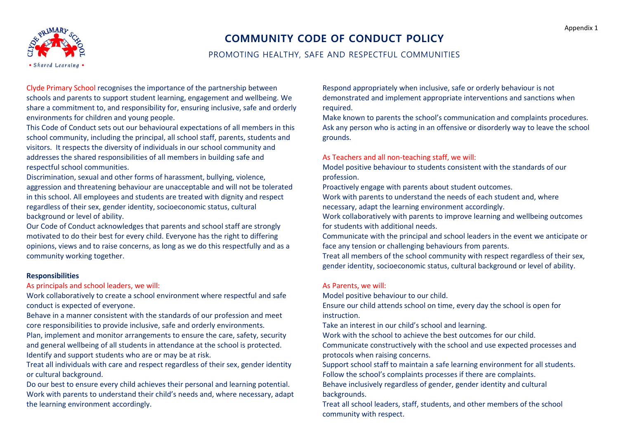

# **COMMUNITY CODE OF CONDUCT POLICY**

# PROMOTING HEALTHY, SAFE AND RESPECTFUL COMMUNITIES

Clyde Primary School recognises the importance of the partnership between schools and parents to support student learning, engagement and wellbeing. We share a commitment to, and responsibility for, ensuring inclusive, safe and orderly environments for children and young people.

This Code of Conduct sets out our behavioural expectations of all members in this school community, including the principal, all school staff, parents, students and visitors. It respects the diversity of individuals in our school community and addresses the shared responsibilities of all members in building safe and respectful school communities.

Discrimination, sexual and other forms of harassment, bullying, violence, aggression and threatening behaviour are unacceptable and will not be tolerated in this school. All employees and students are treated with dignity and respect regardless of their sex, gender identity, socioeconomic status, cultural background or level of ability.

Our Code of Conduct acknowledges that parents and school staff are strongly motivated to do their best for every child. Everyone has the right to differing opinions, views and to raise concerns, as long as we do this respectfully and as a community working together.

#### **Responsibilities**

As principals and school leaders, we will:

Work collaboratively to create a school environment where respectful and safe conduct is expected of everyone.

Behave in a manner consistent with the standards of our profession and meet core responsibilities to provide inclusive, safe and orderly environments.

Plan, implement and monitor arrangements to ensure the care, safety, security and general wellbeing of all students in attendance at the school is protected. Identify and support students who are or may be at risk.

Treat all individuals with care and respect regardless of their sex, gender identity or cultural background.

Do our best to ensure every child achieves their personal and learning potential. Work with parents to understand their child's needs and, where necessary, adapt the learning environment accordingly.

Respond appropriately when inclusive, safe or orderly behaviour is not demonstrated and implement appropriate interventions and sanctions when required.

Make known to parents the school's communication and complaints procedures. Ask any person who is acting in an offensive or disorderly way to leave the school grounds.

#### As Teachers and all non-teaching staff, we will:

Model positive behaviour to students consistent with the standards of our profession.

Proactively engage with parents about student outcomes.

Work with parents to understand the needs of each student and, where necessary, adapt the learning environment accordingly.

Work collaboratively with parents to improve learning and wellbeing outcomes for students with additional needs.

Communicate with the principal and school leaders in the event we anticipate or face any tension or challenging behaviours from parents.

Treat all members of the school community with respect regardless of their sex, gender identity, socioeconomic status, cultural background or level of ability.

#### As Parents, we will:

Model positive behaviour to our child.

Ensure our child attends school on time, every day the school is open for instruction.

Take an interest in our child's school and learning.

Work with the school to achieve the best outcomes for our child.

Communicate constructively with the school and use expected processes and protocols when raising concerns.

Support school staff to maintain a safe learning environment for all students. Follow the school's complaints processes if there are complaints.

Behave inclusively regardless of gender, gender identity and cultural backgrounds.

Treat all school leaders, staff, students, and other members of the school community with respect.